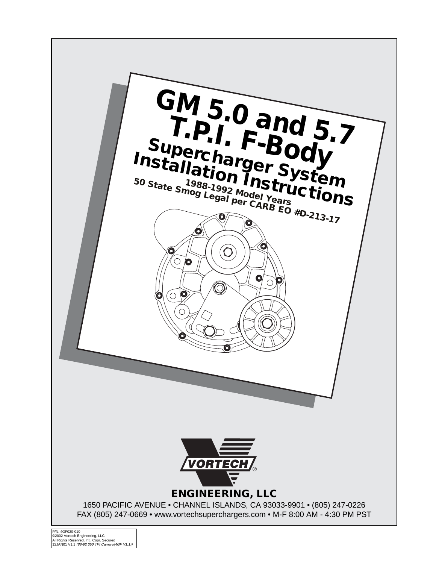

P/N: 4GF020-010<br>©2002 Vortech Engineering, LLC<br>All Rights Reserved, Intl. Copr. Secured<br>12JAN01 V1.1 *(88-92 350 TPI Camaro(4GF V1.1))*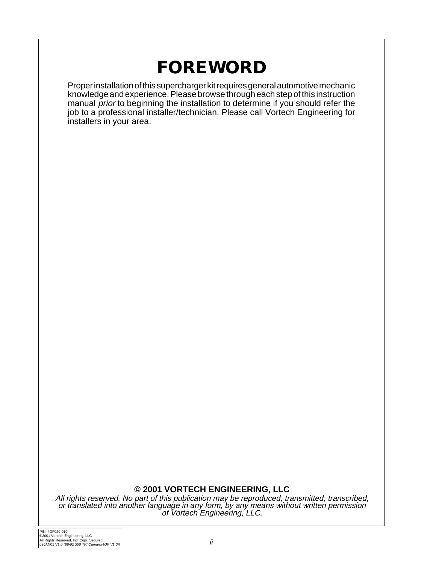# **FOREWORD**

Proper installation of this supercharger kit requires general automotive mechanic knowledge and experience. Please browse through each step of this instruction manual prior to beginning the installation to determine if you should refer the job to a professional installer/technician. Please call Vortech Engineering for installers in your area.

### **© 2001 VORTECH ENGINEERING, LLC**

All rights reserved. No part of this publication may be reproduced, transmitted, transcribed, or translated into another language in any form, by any means without written permission of Vortech Engineering, LLC.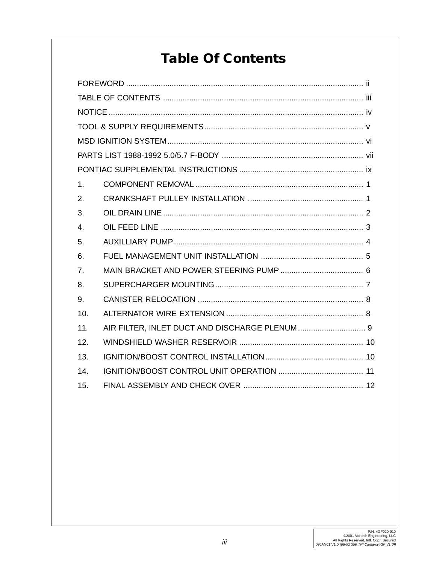# **Table Of Contents**

| 1 <sub>1</sub> |  |  |  |  |  |  |
|----------------|--|--|--|--|--|--|
| 2.             |  |  |  |  |  |  |
| 3.             |  |  |  |  |  |  |
| 4.             |  |  |  |  |  |  |
| 5.             |  |  |  |  |  |  |
| 6.             |  |  |  |  |  |  |
| 7 <sub>1</sub> |  |  |  |  |  |  |
| 8.             |  |  |  |  |  |  |
| 9.             |  |  |  |  |  |  |
| 10.            |  |  |  |  |  |  |
| 11.            |  |  |  |  |  |  |
| 12.            |  |  |  |  |  |  |
| 13.            |  |  |  |  |  |  |
| 14.            |  |  |  |  |  |  |
| 15.            |  |  |  |  |  |  |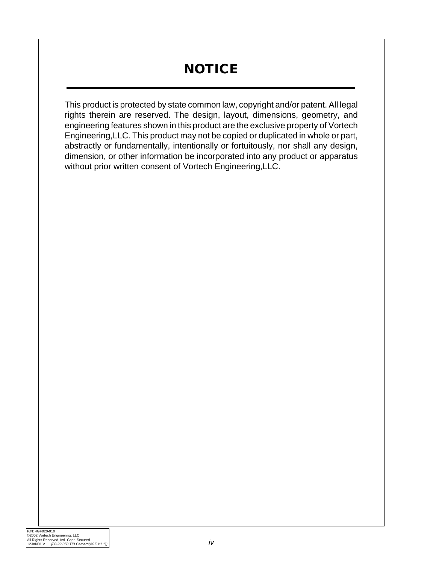# **NOTICE**

This product is protected by state common law, copyright and/or patent. All legal rights therein are reserved. The design, layout, dimensions, geometry, and engineering features shown in this product are the exclusive property of Vortech Engineering,LLC. This product may not be copied or duplicated in whole or part, abstractly or fundamentally, intentionally or fortuitously, nor shall any design, dimension, or other information be incorporated into any product or apparatus without prior written consent of Vortech Engineering,LLC.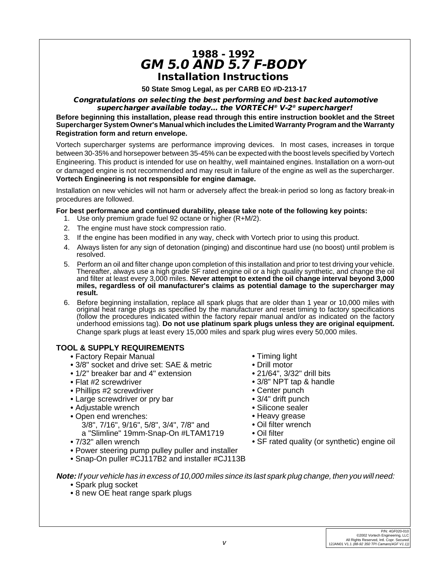# **1988 - 1992 GM 5.0 AND 5.7 F-BODY Installation Instructions**

**50 State Smog Legal, as per CARB EO #D-213-17**

#### **Congratulations on selecting the best performing and best backed automotive supercharger available today... the VORTECH® V-2® supercharger!**

**Before beginning this installation, please read through this entire instruction booklet and the Street Supercharger System Owner's Manual which includes the Limited Warranty Program and the Warranty Registration form and return envelope.**

Vortech supercharger systems are performance improving devices. In most cases, increases in torque between 30-35% and horsepower between 35-45% can be expected with the boost levels specified by Vortech Engineering. This product is intended for use on healthy, well maintained engines. Installation on a worn-out or damaged engine is not recommended and may result in failure of the engine as well as the supercharger. **Vortech Engineering is not responsible for engine damage.**

Installation on new vehicles will not harm or adversely affect the break-in period so long as factory break-in procedures are followed.

#### **For best performance and continued durability, please take note of the following key points:**

- 1. Use only premium grade fuel 92 octane or higher (R+M/2).
- 2. The engine must have stock compression ratio.
- 3. If the engine has been modified in any way, check with Vortech prior to using this product.
- 4. Always listen for any sign of detonation (pinging) and discontinue hard use (no boost) until problem is resolved.
- 5. Perform an oil and filter change upon completion of this installation and prior to test driving your vehicle. Thereafter, always use a high grade SF rated engine oil or a high quality synthetic, and change the oil and filter at least every 3,000 miles. **Never attempt to extend the oil change interval beyond 3,000 miles, regardless of oil manufacturer's claims as potential damage to the supercharger may result.**
- 6. Before beginning installation, replace all spark plugs that are older than 1 year or 10,000 miles with original heat range plugs as specified by the manufacturer and reset timing to factory specifications (follow the procedures indicated within the factory repair manual and/or as indicated on the factory underhood emissions tag). **Do not use platinum spark plugs unless they are original equipment.** Change spark plugs at least every 15,000 miles and spark plug wires every 50,000 miles.

### **TOOL & SUPPLY REQUIREMENTS**

- **•** Factory Repair Manual
- **•** 3/8" socket and drive set: SAE & metric
- **•** 1/2" breaker bar and 4" extension
- **•** Flat #2 screwdriver
- **•** Phillips #2 screwdriver
- **•** Large screwdriver or pry bar
- **•** Adjustable wrench
- **•** Open end wrenches: 3/8", 7/16", 9/16", 5/8", 3/4", 7/8" and a "Slimline" 19mm-Snap-On #LTAM1719
- **•** 7/32" allen wrench
- **•** Power steering pump pulley puller and installer
- **•** Snap-On puller #CJ117B2 and installer #CJ113B
- **•** Timing light
- **•** Drill motor
- **•** 21/64", 3/32" drill bits
- **•** 3/8" NPT tap & handle
- **•** Center punch
- **•** 3/4" drift punch
- **•** Silicone sealer
- **•** Heavy grease
- **•** Oil filter wrench
- **•** Oil filter
- **•** SF rated quality (or synthetic) engine oil
- **Note:**If your vehicle has in excess of 10,000 miles since its last spark plug change, then you will need:
	- **•** Spark plug socket
	- **•** 8 new OE heat range spark plugs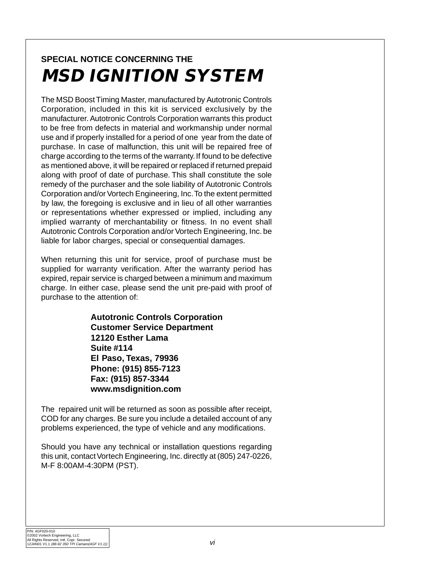# **SPECIAL NOTICE CONCERNING THE MSD IGNITION SYSTEM**

The MSD Boost Timing Master, manufactured by Autotronic Controls Corporation, included in this kit is serviced exclusively by the manufacturer. Autotronic Controls Corporation warrants this product to be free from defects in material and workmanship under normal use and if properly installed for a period of one year from the date of purchase. In case of malfunction, this unit will be repaired free of charge according to the terms of the warranty. If found to be defective as mentioned above, it will be repaired or replaced if returned prepaid along with proof of date of purchase. This shall constitute the sole remedy of the purchaser and the sole liability of Autotronic Controls Corporation and/or Vortech Engineering, Inc. To the extent permitted by law, the foregoing is exclusive and in lieu of all other warranties or representations whether expressed or implied, including any implied warranty of merchantability or fitness. In no event shall Autotronic Controls Corporation and/or Vortech Engineering, Inc. be liable for labor charges, special or consequential damages.

When returning this unit for service, proof of purchase must be supplied for warranty verification. After the warranty period has expired, repair service is charged between a minimum and maximum charge. In either case, please send the unit pre-paid with proof of purchase to the attention of:

> **Autotronic Controls Corporation Customer Service Department 12120 Esther Lama Suite #114 El Paso, Texas, 79936 Phone: (915) 855-7123 Fax: (915) 857-3344 www.msdignition.com**

The repaired unit will be returned as soon as possible after receipt, COD for any charges. Be sure you include a detailed account of any problems experienced, the type of vehicle and any modifications.

Should you have any technical or installation questions regarding this unit, contact Vortech Engineering, Inc. directly at (805) 247-0226, M-F 8:00AM-4:30PM (PST).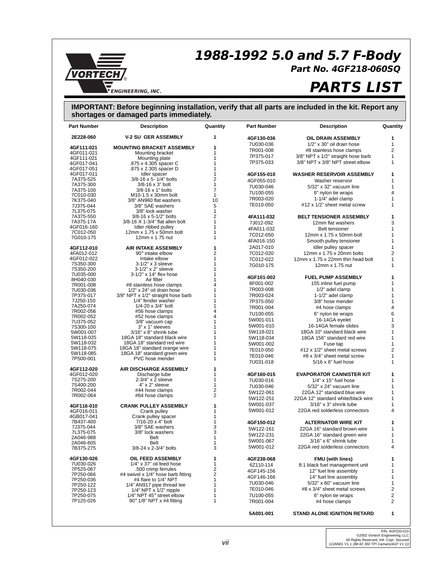# **1988-1992 5.0 and 5.7 F-Body**



# **Part No. 4GF218-060SQ**

# **PARTS LIST**

#### **IMPORTANT: Before beginning installation, verify that all parts are included in the kit. Report any shortages or damaged parts immediately.**

| <b>Part Number</b>      | <b>Description</b>                                       | Quantity            | <b>Part Number</b> | <b>Description</b>                 | Quantity     |
|-------------------------|----------------------------------------------------------|---------------------|--------------------|------------------------------------|--------------|
| 2E228-060               | <b>V-2 SU GER ASSEMBLY</b>                               | 1                   | 4GF130-036         | OIL DRAIN ASSEMBLY                 | 1            |
| 4GF111-021              | <b>MOUNTING BRACKET ASSEMBLY</b>                         | 1                   | 7U030-036          | 1/2" x 30" oil drain hose          | $\mathbf{1}$ |
| 4GF011-021              | Mounting bracket                                         | 1                   | 7R001-008          | #8 stainless hose clamps           | 2            |
| 4GF111-021              | Mounting plate                                           | 1                   | 7P375-017          | 3/8" NPT x 1/2" straight hose barb | 1            |
| 4GF017-041              | .875 x 4.305 spacer C                                    | 1                   | 7P375-033          | 3/8" NPT x 3/8" NPT street elbow   | $\mathbf{1}$ |
| 4GF017-051              | .875 x 2.305 spacer D                                    | 1                   |                    |                                    |              |
| 4GF017-011              | Idler spacer                                             | 1                   | 4GF155-010         | <b>WASHER RESERVOIR ASSEMBLY</b>   | 1            |
| 7A375-525               | 3/8-16 x 5- 1/4" bolts                                   | $\overline{2}$      | 4GF055-010         | Washer reservoir                   | 1            |
| 7A375-300               | $3/8 - 16 \times 3$ " bolt                               | $\mathbf{1}$        | 7U030-046          | 5/32" x 32" vacuum line            | 1            |
| 7A375-100               | 3/8-16 x 1" bolts                                        | $\overline{7}$      | 7U100-055          | 6" nylon tie wraps                 | 4            |
| 7C010-030               | M <sub>10</sub> -1.5 x 30mm bolt                         | 1                   | 7R003-020          | 1-1/4" adel clamp                  | $\mathbf{1}$ |
| 7K375-040               | 3/8" AN960 flat washers                                  | 10                  |                    |                                    | 1            |
| 7J375-044               | 3/8" SAE washers                                         | 5                   | 7E010-050          | #12 x 1/2" sheet metal screw       |              |
| 7L375-075               | 3/8" lock washer                                         | $\mathbf{1}$        |                    |                                    |              |
| 7A375-550               | 3/8-16 x 5-1/2" bolts                                    | $\overline{2}$<br>1 | 4FA111-032         | <b>BELT TENSIONER ASSEMBLY</b>     | 1            |
| 7A375-17A<br>4GF016-160 | 3/8-16 X 1-3/4" flat allen bolt<br>Idler ribbed pulley   | 1                   | 7J012-092          | 12mm flat washers                  | 3            |
| 7C012-050               | 12mm x 1.75 x 50mm bolt                                  | 1                   | 4FA011-032         | <b>Belt tensioner</b>              | $\mathbf{1}$ |
| 7G010-175               | 12mm x 1.75 nut                                          | 1                   | 7C012-050          | 12mm x 1.75 x 50mm bolt            | 1            |
|                         |                                                          |                     | 4FA016-150         | Smooth pulley tensioner            | 1            |
| 4GF112-010              | <b>AIR INTAKE ASSEMBLY</b>                               | 1                   | 2A017-010          | Idler pulley spacer                | $\mathbf{1}$ |
| 4FA012-012              | 90° intake elbow                                         | 2                   | 7C012-020          | 12mm x 1.75 x 20mm bolts           | 2            |
| 4GF012-022              | Intake elbow                                             | 1                   | 7C012-022          | 12mm x 1.75 x 22mm thin head bolt  | 1            |
| 7S350-300               | $3-1/2"$ x 3 sleeve                                      | 1                   | 7G010-175          | 12mm x 1.75 nut                    | 1            |
| 7S350-200               | 3-1/2" x 2" sleeve                                       | 1                   |                    |                                    |              |
| 7U035-000               | 3-1/2" x 14" flex hose                                   | 1                   | 4GF101-002         | <b>FUEL PUMP ASSEMBLY</b>          | 1            |
| 8H040-030               | Air filter                                               | 1                   | 8F001-002          | 155 inline fuel pump               | 1            |
| 7R001-008               | #8 stainless hose clamps                                 | 4                   |                    |                                    | $\mathbf{1}$ |
| 7U030-036               | 1/2" x 24" oil drain hose                                | 1<br>1              | 7R003-008          | 1/2" adel clamp                    |              |
| 7P375-017<br>7J250-150  | 3/8" NPT x 1/2" straight hose barb<br>1/4" fender washer | 1                   | 7R003-024          | 1-1/2" adel clamp                  | 1            |
| 7A250-074               | $1/4 - 20 \times 3/4$ " bolt                             | 1                   | 7P375-050          | 3/8" hose mender                   | 1            |
| 7R002-056               | #56 hose clamps                                          | 4                   | 7R001-004          | #4 hose clamps                     | 4            |
| 7R002-052               | #52 hose clamps                                          | 4                   | 7U100-055          | 6" nylon tie wraps                 | 6            |
| 7U375-052               | 3/8" vacuum cap                                          | 1                   | 5W001-011          | 16-14GA eyelet                     | $\mathbf{1}$ |
| 7S300-100               | 3" x 1" sleeves                                          | 1                   | 5W001-010          | 16-14GA female slides              | 3            |
| 5W001-007               | $3/16"$ x $8"$ shrink tube                               | 1                   | 5W118-021          | 18GA 10" standard black wire       | 1            |
| 5W118-025               | 18GA 18" standard black wire                             | 1                   | 5W118-034          | 18GA 156" standard red wire        | 1            |
| 5W118-032               | 18GA 18" standard red wire                               | 1                   | 5W001-002          | Fuse tap                           | $\mathbf{1}$ |
| 5W118-075               | 18GA 18" standard orange wire                            | 1                   | 7E010-050          | #12 x 1/2" sheet metal screws      | 2            |
| 5W118-085               | 18GA 18" standard green wire                             | 1                   | 7E010-046          | #8 x 3/4" sheet metal screw        | $\mathbf{1}$ |
| 7P500-001               | PVC hose mender                                          | 1                   | 7U031-018          | $5/16 \times 6$ " fuel hose        | $\mathbf{1}$ |
| 4GF112-020              | AIR DISCHARGE ASSEMBLY                                   | 1                   |                    |                                    |              |
| 4GF012-020              | Discharge tube                                           | 1                   | 4GF160-015         | <b>EVAPORATOR CANNISTER KIT</b>    | 1            |
| 7S275-200               | 2-3/4" x 2 sleeve                                        | 1                   | 7U030-016          | $1/4$ " x $15$ " fuel hose         | 1            |
| 7S400-200               | 4" x 2" sleeve                                           | 1                   | 7U030-046          | 5/32" x 24" vacuum line            | 1            |
| 7R002-044               | #44 hose clamps                                          | 2                   |                    |                                    |              |
| 7R002-064               | #64 hose clamps                                          | $\overline{c}$      | 5W122-061          | 22GA 12" standard blue wire        | $\mathbf{1}$ |
|                         |                                                          |                     | 5W122-251          | 22GA 12" standard white/black wire | 1            |
| 4GF116-010              | <b>CRANK PULLEY ASSEMBLY</b>                             | 1                   | 5W001-037          | $3/16"$ x $3"$ shrink tube         | 1            |
| 4GF016-011              | Crank pulley                                             | 1                   | 5W001-012          | 22GA red solderless connectors     | 4            |
| 4GB017-041              | Crank pulley spacer                                      | 1                   |                    |                                    |              |
| 7B437-400               | 7/16-20 x 4" bolt                                        | 1                   | 4GF150-012         | <b>ALTERNATOR WIRE KIT</b>         | 1            |
| 7J375-044               | 3/8" SAE washers                                         | 3                   | 5W122-161          | 22GA 16" standard brown wire       | 1            |
| 7L375-075<br>2A046-988  | 3/8" lock washers<br>Belt                                | 3<br>1              | 5W122-231          | 22GA 16" standard green wire       | $\mathbf{1}$ |
|                         |                                                          | 1                   | 5W001-067          | $3/16"$ x 6" shrink tube           | 1            |
| 2A046-605<br>7B375-275  | Belt<br>3/8-24 x 2-3/4" bolts                            | 3                   | 5W001-012          | 22GA red solderless connectors     | 4            |
|                         |                                                          |                     |                    |                                    |              |
| 4GF130-026              | OIL FEED ASSEMBLY                                        | 1                   | 4GF238-068         | <b>FMU (with lines)</b>            | 1            |
| 7U030-026               | 1/4" x 37" oil feed hose                                 | 1                   | 6Z110-114          | 8:1 black fuel management unit     | 1            |
| 7P525-067               | .500 crimp ferrules                                      | 2                   | 4GF145-156         | 12" fuel line assembly             | 1            |
| 7P250-066               | #4 swivel x 1/4" hose barb fitting                       | 2                   | 4GF146-166         | 14" fuel line assembly             | 1            |
| 7P250-036               | #4 flare to 1/4" NPT                                     | 1                   | 7U030-046          | 5/32" x 60" vacuum line            | 1            |
| 7P250-122               | 1/4" AN917 pipe thread tee                               | 1                   |                    |                                    |              |
| 7P250-123               | $1/4$ " NPT x $1/2$ " nipple                             | 1                   | 7E010-046          | #8 x 3/4" sheet metal screws       | 2            |
| 7P250-075               | 1/4" NPT 45° street elbow                                | 1                   | 7U100-055          | 6" nylon tie wraps                 | 2            |
| 7P125-026               | 90° 1/8" NPT x #4 fitting                                | 1                   | 7R001-004          | #4 hose clamps                     | 2            |
|                         |                                                          |                     | 5A001-001          | <b>STAND ALONE IGNITION RETARD</b> | 1            |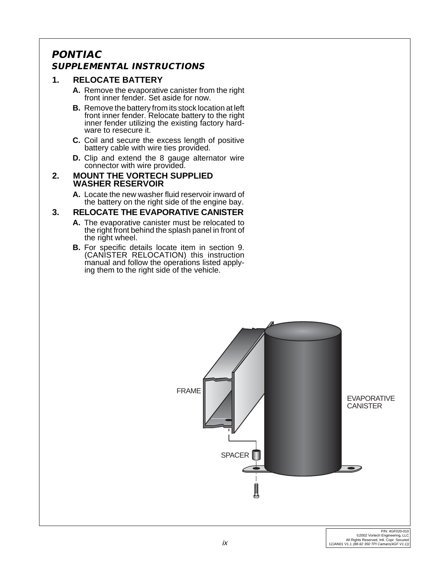# **PONTIAC SUPPLEMENTAL INSTRUCTIONS**

# **1. RELOCATE BATTERY**

- **A.** Remove the evaporative canister from the right front inner fender. Set aside for now.
- **B.** Remove the battery from its stock location at left front inner fender. Relocate battery to the right inner fender utilizing the existing factory hardware to resecure it.
- **C.** Coil and secure the excess length of positive battery cable with wire ties provided.
- **D.** Clip and extend the 8 gauge alternator wire connector with wire provided.
- **2. MOUNT THE VORTECH SUPPLIED WASHER RESERVOIR**
	- **A.** Locate the new washer fluid reservoir inward of the battery on the right side of the engine bay.

### **3. RELOCATE THE EVAPORATIVE CANISTER**

- **A.** The evaporative canister must be relocated to the right front behind the splash panel in front of the right wheel.
- **B.** For specific details locate item in section 9. (CANISTER RELOCATION) this instruction manual and follow the operations listed applying them to the right side of the vehicle.

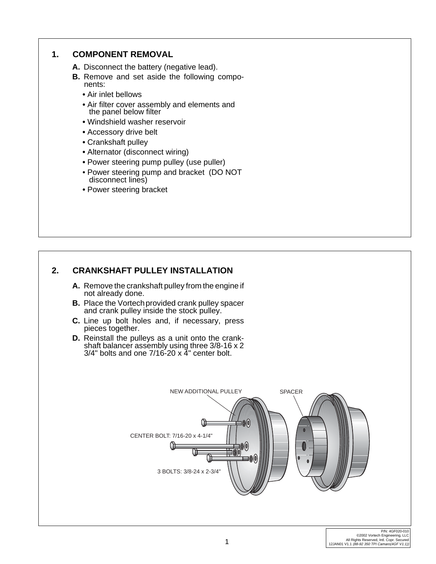# **1. COMPONENT REMOVAL A.** Disconnect the battery (negative lead). **B.** Remove and set aside the following components: **•** Air inlet bellows **•** Air filter cover assembly and elements and the panel below filter **•** Windshield washer reservoir **•** Accessory drive belt **•** Crankshaft pulley **•** Alternator (disconnect wiring) **•** Power steering pump pulley (use puller) • Power steering pump and bracket (DO NOT disconnect lines) **•** Power steering bracket

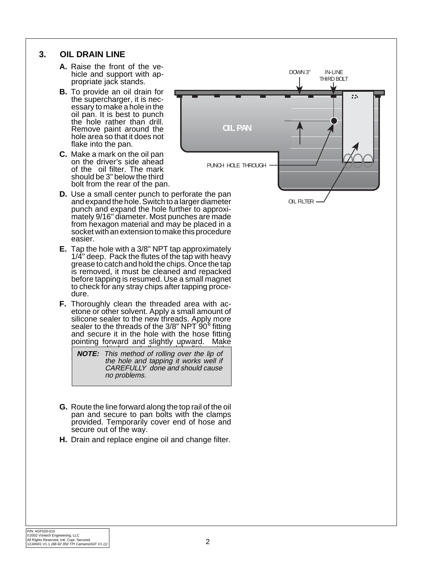### **3. OIL DRAIN LINE**

- **A.** Raise the front of the vehicle and support with appropriate jack stands.
- **B.** To provide an oil drain for the supercharger, it is necessary to make a hole in the oil pan. It is best to punch the hole rather than drill. Remove paint around the hole area so that it does not flake into the pan.
- **C.** Make a mark on the oil pan on the driver's side ahead of the oil filter. The mark should be 3" below the third bolt from the rear of the pan.
- **D.** Use a small center punch to perforate the pan and expand the hole. Switch to a larger diameter punch and expand the hole further to approximately 9/16" diameter. Most punches are made from hexagon material and may be placed in a socket with an extension to make this procedure easier.
- **E.** Tap the hole with a 3/8" NPT tap approximately 1/4" deep. Pack the flutes of the tap with heavy grease to catch and hold the chips. Once the tap is removed, it must be cleaned and repacked before tapping is resumed. Use a small magnet to check for any stray chips after tapping procedure.
- **F.** Thoroughly clean the threaded area with acetone or other solvent. Apply a small amount of silicone sealer to the new threads. Apply more sealer to the threads of the  $3/8$ " NPT  $90^{\circ}$  fitting and secure it in the hole with the hose fitting pointing forward and slightly upward. Make

 $\overline{S}$  sure a seal is the fitting at the fitting  $\overline{S}$ **NOTE:** This method of rolling over the lip of **NOTE:** This method of rolling over the lip of the hole and tapping it works well if CAREFULLY done and should cause no problems.

- **G.** Route the line forward along the top rail of the oil pan and secure to pan bolts with the clamps provided. Temporarily cover end of hose and secure out of the way.
- **H.** Drain and replace engine oil and change filter.



OIL FILTER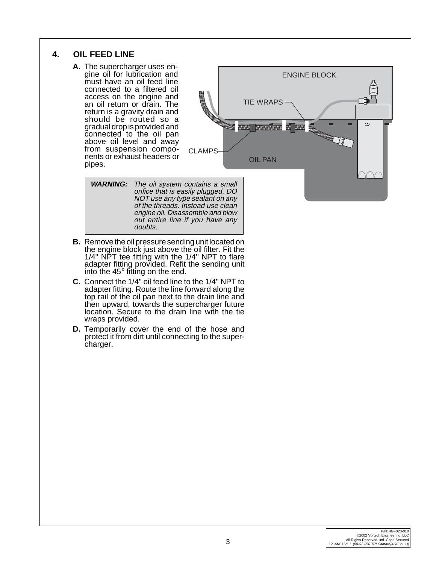# **4. OIL FEED LINE**

**A.** The supercharger uses engine oil for lubrication and must have an oil feed line connected to a filtered oil access on the engine and an oil return or drain. The return is a gravity drain and should be routed so a gradual drop is provided and connected to the oil pan above oil level and away from suspension components or exhaust headers or pipes.



**WARNING:** The oil system contains a small orifice that is easily plugged. DO NOT use any type sealant on any of the threads. Instead use clean engine oil. Disassemble and blow out entire line if you have any doubts.

- **B.** Remove the oil pressure sending unit located on the engine block just above the oil filter. Fit the 1/4" NPT tee fitting with the 1/4" NPT to flare adapter fitting provided. Refit the sending unit into the 45° fitting on the end.
- **C.** Connect the 1/4" oil feed line to the 1/4" NPT to adapter fitting. Route the line forward along the top rail of the oil pan next to the drain line and then upward, towards the supercharger future location. Secure to the drain line with the tie wraps provided.
- **D.** Temporarily cover the end of the hose and protect it from dirt until connecting to the supercharger.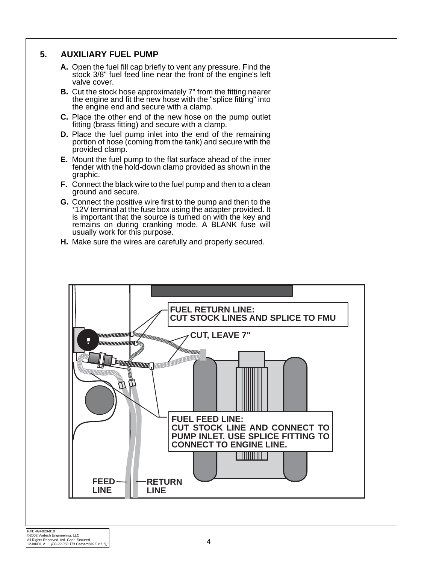## **5. AUXILIARY FUEL PUMP**

- **A.** Open the fuel fill cap briefly to vent any pressure. Find the stock 3/8" fuel feed line near the front of the engine's left valve cover.
- **B.** Cut the stock hose approximately 7" from the fitting nearer the engine and fit the new hose with the "splice fitting" into the engine end and secure with a clamp.
- **C.** Place the other end of the new hose on the pump outlet fitting (brass fitting) and secure with a clamp.
- **D.** Place the fuel pump inlet into the end of the remaining portion of hose (coming from the tank) and secure with the provided clamp.
- **E.** Mount the fuel pump to the flat surface ahead of the inner fender with the hold-down clamp provided as shown in the graphic.
- **F.** Connect the black wire to the fuel pump and then to a clean ground and secure.
- **G.** Connect the positive wire first to the pump and then to the +12V terminal at the fuse box using the adapter provided. It is important that the source is turned on with the key and remains on during cranking mode. A BLANK fuse will usually work for this purpose.
- **H.** Make sure the wires are carefully and properly secured.

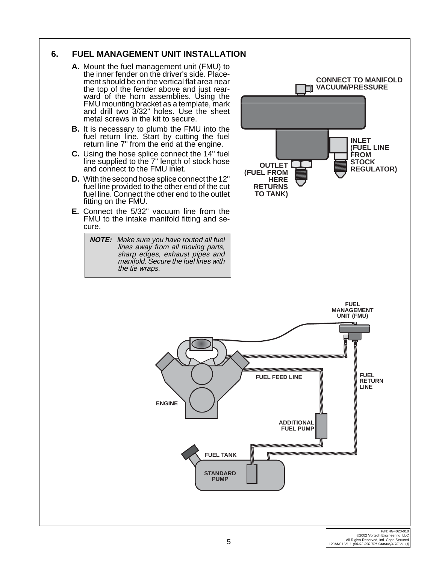# **6. FUEL MANAGEMENT UNIT INSTALLATION**

- **A.** Mount the fuel management unit (FMU) to the inner fender on the driver's side. Placement should be on the vertical flat area near the top of the fender above and just rearward of the horn assemblies. Using the FMU mounting bracket as a template, mark and drill two 3/32" holes. Use the sheet metal screws in the kit to secure.
- **B.** It is necessary to plumb the FMU into the fuel return line. Start by cutting the fuel return line 7" from the end at the engine.
- **C.** Using the hose splice connect the 14" fuel line supplied to the 7" length of stock hose and connect to the FMU inlet.
- **D.** With the second hose splice connect the 12" fuel line provided to the other end of the cut fuel line. Connect the other end to the outlet fitting on the FMU.
- **E.** Connect the 5/32" vacuum line from the FMU to the intake manifold fitting and secure.

**NOTE:** Make sure you have routed all fuel lines away from all moving parts, sharp edges, exhaust pipes and manifold. Secure the fuel lines with the tie wraps.

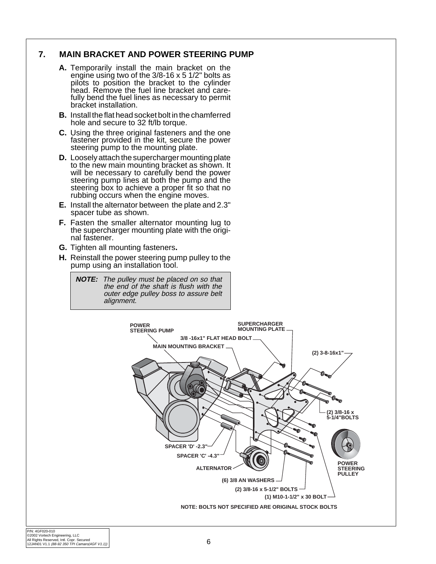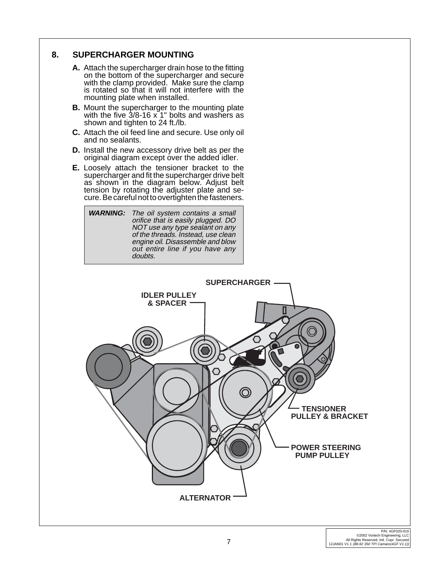# **8. SUPERCHARGER MOUNTING**

- **A.** Attach the supercharger drain hose to the fitting on the bottom of the supercharger and secure with the clamp provided. Make sure the clamp is rotated so that it will not interfere with the mounting plate when installed.
- **B.** Mount the supercharger to the mounting plate with the five 3/8-16 x 1" bolts and washers as shown and tighten to 24 ft./lb.
- **C.** Attach the oil feed line and secure. Use only oil and no sealants.
- **D.** Install the new accessory drive belt as per the original diagram except over the added idler.
- **E.** Loosely attach the tensioner bracket to the supercharger and fit the supercharger drive belt as shown in the diagram below. Adjust belt tension by rotating the adjuster plate and secure. Be careful not to overtighten the fasteners.



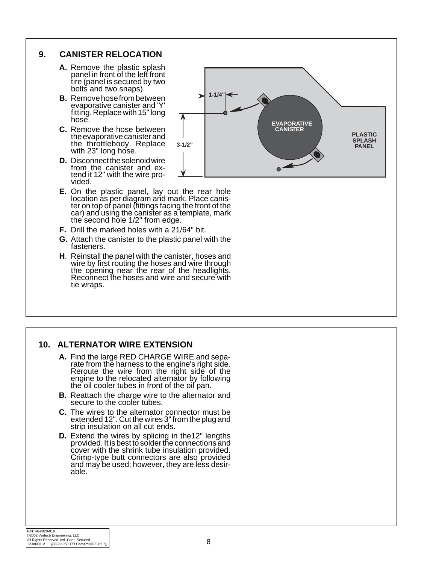# **9. CANISTER RELOCATION**

- **A.** Remove the plastic splash panel in front of the left front tire (panel is secured by two bolts and two snaps).
- **B.** Remove hose from between evaporative canister and 'Y' fitting. Replace with 15" long hose.
- **C.** Remove the hose between the evaporative canister and the throttlebody. Replace with 23" long hose.
- **D.** Disconnect the solenoid wire from the canister and extend it 12" with the wire provided.
- **E.** On the plastic panel, lay out the rear hole location as per diagram and mark. Place canister on top of panel (fittings facing the front of the car) and using the canister as a template, mark the second hole 1/2" from edge.
- **F.** Drill the marked holes with a 21/64" bit.
- **G.** Attach the canister to the plastic panel with the fasteners.
- **H**. Reinstall the panel with the canister, hoses and wire by first routing the hoses and wire through the opening near the rear of the headlights. Reconnect the hoses and wire and secure with tie wraps.



#### **10. ALTERNATOR WIRE EXTENSION**

- **A.** Find the large RED CHARGE WIRE and separate from the harness to the engine's right side. Reroute the wire from the right side of the engine to the relocated alternator by following the oil cooler tubes in front of the oil pan.
- **B.** Reattach the charge wire to the alternator and secure to the cooler tubes.
- **C.** The wires to the alternator connector must be extended 12". Cut the wires 3" from the plug and strip insulation on all cut ends.
- **D.** Extend the wires by splicing in the12" lengths provided. It is best to solder the connections and cover with the shrink tube insulation provided. Crimp-type butt connectors are also provided and may be used; however, they are less desirable.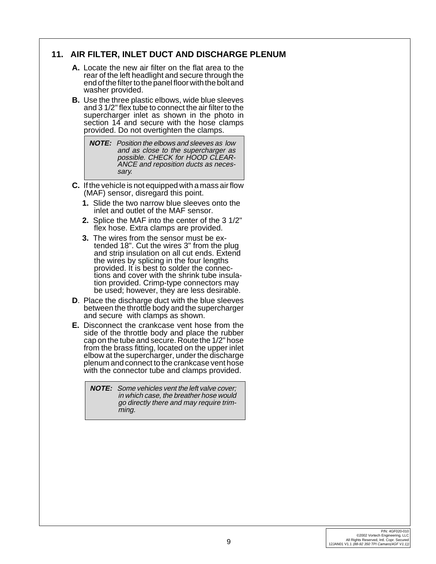# **11. AIR FILTER, INLET DUCT AND DISCHARGE PLENUM**

- **A.** Locate the new air filter on the flat area to the rear of the left headlight and secure through the end of the filter to the panel floor with the bolt and washer provided.
- **B.** Use the three plastic elbows, wide blue sleeves and 3 1/2" flex tube to connect the air filter to the supercharger inlet as shown in the photo in section 14 and secure with the hose clamps provided. Do not overtighten the clamps.

**NOTE:** Position the elbows and sleeves as low and as close to the supercharger as possible. CHECK for HOOD CLEAR-ANCE and reposition ducts as necessary.

- **C.** If the vehicle is not equipped with a mass air flow (MAF) sensor, disregard this point.
	- **1.** Slide the two narrow blue sleeves onto the inlet and outlet of the MAF sensor.
	- **2.** Splice the MAF into the center of the 3 1/2" flex hose. Extra clamps are provided.
	- **3.** The wires from the sensor must be extended 18". Cut the wires 3" from the plug and strip insulation on all cut ends. Extend the wires by splicing in the four lengths provided. It is best to solder the connections and cover with the shrink tube insulation provided. Crimp-type connectors may be used; however, they are less desirable.
- **D**. Place the discharge duct with the blue sleeves between the throttle body and the supercharger and secure with clamps as shown.
- **E.** Disconnect the crankcase vent hose from the side of the throttle body and place the rubber cap on the tube and secure. Route the 1/2" hose from the brass fitting, located on the upper inlet elbow at the supercharger, under the discharge plenum and connect to the crankcase vent hose with the connector tube and clamps provided.

**NOTE:** Some vehicles vent the left valve cover; in which case, the breather hose would go directly there and may require trimming.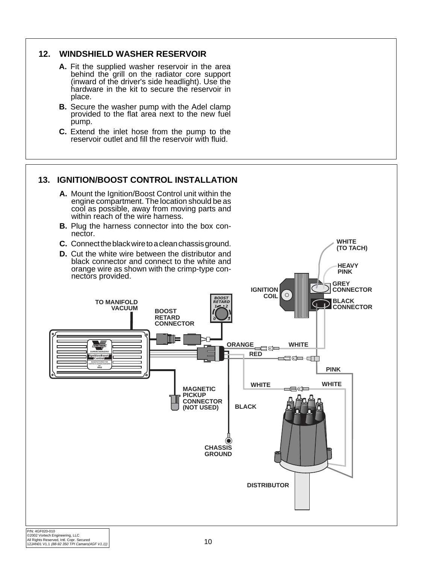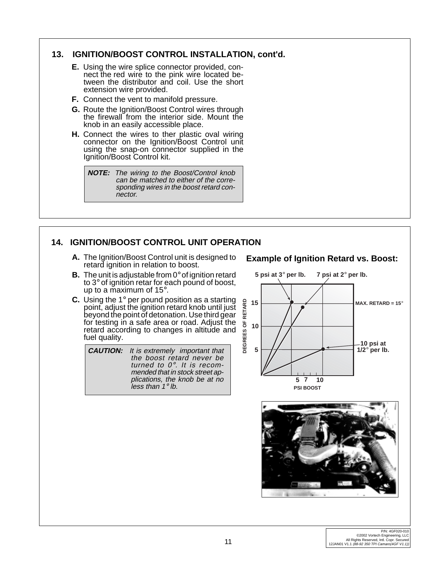# **13. IGNITION/BOOST CONTROL INSTALLATION, cont'd.**

- **E.** Using the wire splice connector provided, connect the red wire to the pink wire located between the distributor and coil. Use the short extension wire provided.
- **F.** Connect the vent to manifold pressure.
- **G.** Route the Ignition/Boost Control wires through the firewall from the interior side. Mount the knob in an easily accessible place.
- **H.** Connect the wires to ther plastic oval wiring connector on the Ignition/Boost Control unit using the snap-on connector supplied in the Ignition/Boost Control kit.

**NOTE:** The wiring to the Boost/Control knob can be matched to either of the corresponding wires in the boost retard connector.

# **14. IGNITION/BOOST CONTROL UNIT OPERATION**

**A.** The Ignition/Boost Control unit is designed to retard ignition in relation to boost.

#### **Example of Ignition Retard vs. Boost:**

- **B.** The unit is adjustable from 0° of ignition retard to 3° of ignition retar for each pound of boost, up to a maximum of 15°.
- **C.** Using the 1° per pound position as a starting point, adjust the ignition retard knob until just beyond the point of detonation. Use third gear for testing in a safe area or road. Adjust the retard according to changes in altitude and fuel quality.

**CAUTION:** It is extremely important that the boost retard never be turned to 0°. It is recommended that in stock street applications, the knob be at no less than 1° lb.